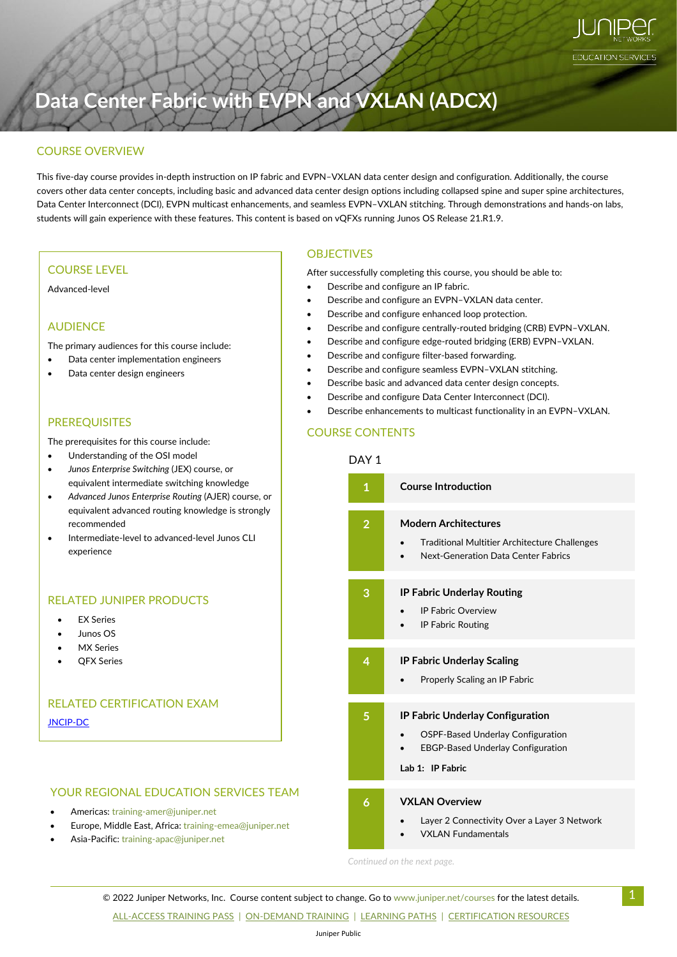

9

# **Data Center Fabric with EVPN and VXLAN (ADCX)**

**Data Center Fabric with EVPN and VXLAN (ADCX)** 

#### COURSE OVERVIEW

This five-day course provides in-depth instruction on IP fabric and EVPN–VXLAN data center design and configuration. Additionally, the course covers other data center concepts, including basic and advanced data center design options including collapsed spine and super spine architectures, Data Center Interconnect (DCI), EVPN multicast enhancements, and seamless EVPN–VXLAN stitching. Through demonstrations and hands-on labs, students will gain experience with these features. This content is based on vQFXs running Junos OS Release 21.R1.9.

#### COURSE LEVEL

Advanced-level

#### AUDIENCE

The primary audiences for this course include:

- Data center implementation engineers
- Data center design engineers

#### PREREQUISITES

The prerequisites for this course include:

- Understanding of the OSI model
- *Junos Enterprise Switching* (JEX) course, or equivalent intermediate switching knowledge
- *Advanced Junos Enterprise Routing* (AJER) course, or equivalent advanced routing knowledge is strongly recommended
- Intermediate-level to advanced-level Junos CLI experience

#### RELATED JUNIPER PRODUCTS

- **EX Series**
- Junos OS
- **MX Series**
- QFX Series

### RELATED CERTIFICATION EXAM [JNCIP-DC](https://www.juniper.net/us/en/training/certification/tracks/data-center/jncip-dc.html)

#### YOUR REGIONAL EDUCATION SERVICES TEAM

- Americas: [training-amer@juniper.net](mailto:training-amer@juniper.net)
- Europe, Middle East, Africa: training-emea@juniper.net
- Asia-Pacific: [training-apac@juniper.net](mailto:training-apac@juniper.net)

#### **OBJECTIVES**

After successfully completing this course, you should be able to:

- Describe and configure an IP fabric.
- Describe and configure an EVPN–VXLAN data center.
- Describe and configure enhanced loop protection.
- Describe and configure centrally-routed bridging (CRB) EVPN–VXLAN.
- Describe and configure edge-routed bridging (ERB) EVPN–VXLAN.
- Describe and configure filter-based forwarding.
- Describe and configure seamless EVPN–VXLAN stitching.
- Describe basic and advanced data center design concepts.
- Describe and configure Data Center Interconnect (DCI).
- Describe enhancements to multicast functionality in an EVPN–VXLAN.

## COURSE CONTENTS

#### DAY<sub>1</sub>

| 1              | <b>Course Introduction</b>                                                                                                                                |
|----------------|-----------------------------------------------------------------------------------------------------------------------------------------------------------|
| $\overline{2}$ | <b>Modern Architectures</b><br><b>Traditional Multitier Architecture Challenges</b><br>Next-Generation Data Center Fabrics                                |
| 3              | <b>IP Fabric Underlay Routing</b><br><b>IP Fabric Overview</b><br>• IP Fabric Routing                                                                     |
| 4              | <b>IP Fabric Underlay Scaling</b><br>Properly Scaling an IP Fabric                                                                                        |
| 5              | <b>IP Fabric Underlay Configuration</b><br>OSPF-Based Underlay Configuration<br>$\bullet$<br><b>EBGP-Based Underlay Configuration</b><br>Lab 1: IP Fabric |
| 6              | <b>VXLAN Overview</b><br>Layer 2 Connectivity Over a Layer 3 Network<br><b>VXLAN Fundamentals</b>                                                         |

*Continued on the next page.*

 $\degree$  2022 Juniper Networks, Inc. Course content subject to change. Go t[o www.juniper.net/courses](https://learningportal.juniper.net/juniper/user_training.aspx?display=type%3aclassroom-training-with-survey.png) for the latest details.

[ALL-ACCESS TRAINING PASS](https://learningportal.juniper.net/juniper/user_activity_info.aspx?id=ALL-ACCESS-TRAINING-PASS-HOME&elqTrackId=LP-material-reference) | [ON-DEMAND](https://learningportal.juniper.net/juniper/user_activity_info.aspx?id=JUNIPER-ONDEMAND-TRAINING-HOME&elqTrackId=LP-material-reference) TRAINING | [LEARNING PATHS](https://learningportal.juniper.net/juniper/user_activity_info.aspx?id=JUNIPER-LEARNING-PATHS-HOME&elqTrackId=LP-material-reference) | [CERTIFICATION RESOURCES](https://learningportal.juniper.net/juniper/user_activity_info.aspx?id=JUNIPER-CERTIFICATION-PROGRAM-HOME&elqTrackId=LP-material-reference)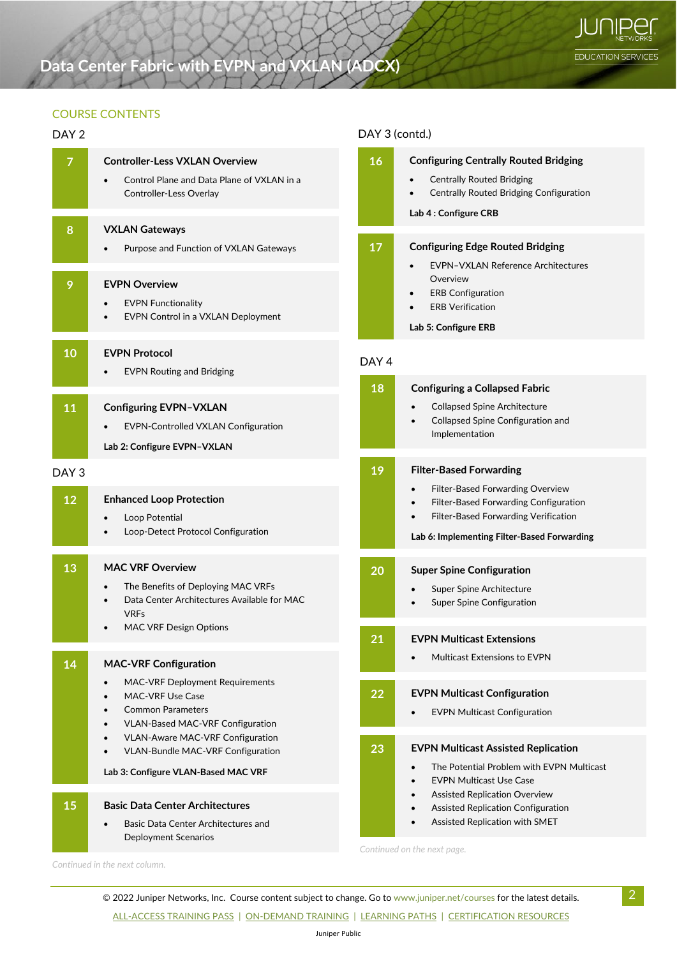# **Data Center Fabric with EVPN and VXLAN (ADCX)**

#### COURSE CONTENTS

| DAY <sub>2</sub> |                                                                                                                                                                                       | DAY 3 (contd.)                                                                                                                                                                             |
|------------------|---------------------------------------------------------------------------------------------------------------------------------------------------------------------------------------|--------------------------------------------------------------------------------------------------------------------------------------------------------------------------------------------|
| $\overline{7}$   | <b>Controller-Less VXLAN Overview</b><br>Control Plane and Data Plane of VXLAN in a<br>Controller-Less Overlay                                                                        | 16<br><b>Configuring Centrally Routed Bridging</b><br><b>Centrally Routed Bridging</b><br>Centrally Routed Bridging Configuration<br>Lab 4 : Configure CRB                                 |
| 8<br>9           | <b>VXLAN Gateways</b><br>Purpose and Function of VXLAN Gateways                                                                                                                       | 17<br><b>Configuring Edge Routed Bridging</b><br><b>EVPN-VXLAN Reference Architectures</b>                                                                                                 |
|                  | <b>EVPN Overview</b><br><b>EVPN Functionality</b><br>٠<br>EVPN Control in a VXLAN Deployment                                                                                          | Overview<br><b>ERB Configuration</b><br><b>ERB Verification</b><br>Lab 5: Configure ERB                                                                                                    |
| 10               | <b>EVPN Protocol</b><br><b>EVPN Routing and Bridging</b><br>$\bullet$                                                                                                                 | DAY <sub>4</sub>                                                                                                                                                                           |
| 11               | <b>Configuring EVPN-VXLAN</b><br><b>EVPN-Controlled VXLAN Configuration</b><br>Lab 2: Configure EVPN-VXLAN                                                                            | 18<br><b>Configuring a Collapsed Fabric</b><br><b>Collapsed Spine Architecture</b><br>Collapsed Spine Configuration and<br>Implementation                                                  |
| DAY <sub>3</sub> |                                                                                                                                                                                       | 19<br><b>Filter-Based Forwarding</b>                                                                                                                                                       |
| 12               | <b>Enhanced Loop Protection</b><br>Loop Potential<br>$\bullet$<br>Loop-Detect Protocol Configuration<br>$\bullet$                                                                     | Filter-Based Forwarding Overview<br>Filter-Based Forwarding Configuration<br>$\bullet$<br>Filter-Based Forwarding Verification<br>$\bullet$<br>Lab 6: Implementing Filter-Based Forwarding |
| 13               | <b>MAC VRF Overview</b><br>The Benefits of Deploying MAC VRFs<br>$\bullet$<br>Data Center Architectures Available for MAC<br>$\bullet$<br><b>VRFs</b>                                 | <b>Super Spine Configuration</b><br>20<br>Super Spine Architecture<br><b>Super Spine Configuration</b>                                                                                     |
| 14               | <b>MAC VRF Design Options</b><br><b>MAC-VRF Configuration</b>                                                                                                                         | 21<br><b>EVPN Multicast Extensions</b><br><b>Multicast Extensions to EVPN</b>                                                                                                              |
|                  | <b>MAC-VRF Deployment Requirements</b><br>$\bullet$<br><b>MAC-VRF Use Case</b><br>$\bullet$<br><b>Common Parameters</b><br>$\bullet$<br>VLAN-Based MAC-VRF Configuration<br>$\bullet$ | <b>EVPN Multicast Configuration</b><br>22<br><b>EVPN Multicast Configuration</b>                                                                                                           |
|                  | <b>VLAN-Aware MAC-VRF Configuration</b><br>$\bullet$<br>VLAN-Bundle MAC-VRF Configuration<br>$\bullet$<br>Lab 3: Configure VLAN-Based MAC VRF                                         | 23<br><b>EVPN Multicast Assisted Replication</b><br>The Potential Problem with EVPN Multicast<br><b>EVPN Multicast Use Case</b>                                                            |
| 15               | <b>Basic Data Center Architectures</b><br>Basic Data Center Architectures and<br><b>Deployment Scenarios</b>                                                                          | <b>Assisted Replication Overview</b><br>$\bullet$<br>Assisted Replication Configuration<br>Assisted Replication with SMET<br>Continued on the next page.                                   |
|                  |                                                                                                                                                                                       |                                                                                                                                                                                            |

*Continued in the next column.*

© 2022 Juniper Networks, Inc. Course content subject to change. Go t[o www.juniper.net/courses](https://learningportal.juniper.net/juniper/user_training.aspx?display=type%3aclassroom-training-with-survey.png) for the latest details.

[ALL-ACCESS TRAINING PASS](https://learningportal.juniper.net/juniper/user_activity_info.aspx?id=ALL-ACCESS-TRAINING-PASS-HOME&elqTrackId=LP-material-reference) | [ON-DEMAND](https://learningportal.juniper.net/juniper/user_activity_info.aspx?id=JUNIPER-ONDEMAND-TRAINING-HOME&elqTrackId=LP-material-reference) TRAINING | [LEARNING PATHS](https://learningportal.juniper.net/juniper/user_activity_info.aspx?id=JUNIPER-LEARNING-PATHS-HOME&elqTrackId=LP-material-reference) | [CERTIFICATION RESOURCES](https://learningportal.juniper.net/juniper/user_activity_info.aspx?id=JUNIPER-CERTIFICATION-PROGRAM-HOME&elqTrackId=LP-material-reference)